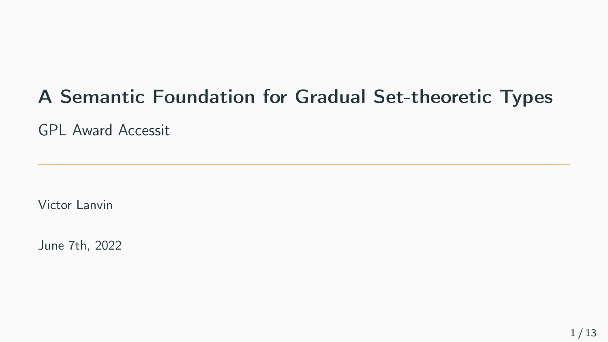# A Semantic Foundation for Gradual Set-theoretic Types

GPL Award Accessit

Victor Lanvin

June 7th, 2022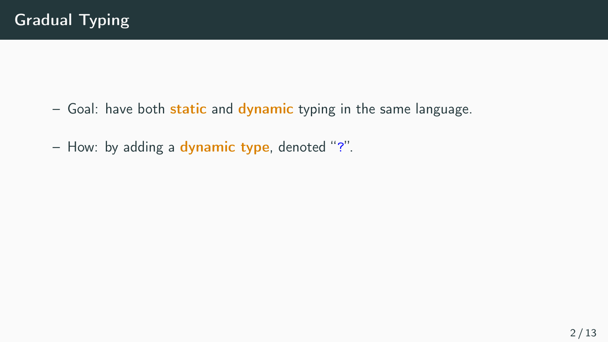- $-$  Goal: have both static and dynamic typing in the same language.
- How: by adding a dynamic type, denoted "?".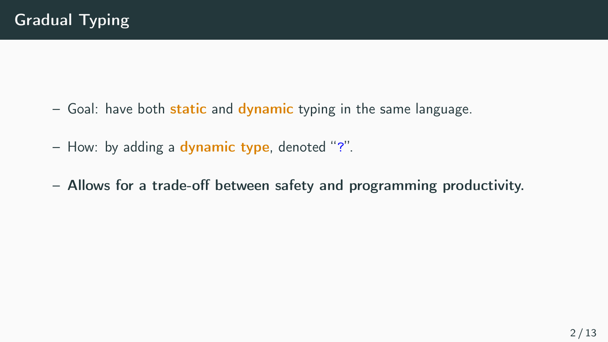- $-$  Goal: have both static and dynamic typing in the same language.
- How: by adding a dynamic type, denoted "?".
- Allows for a trade-off between safety and programming productivity.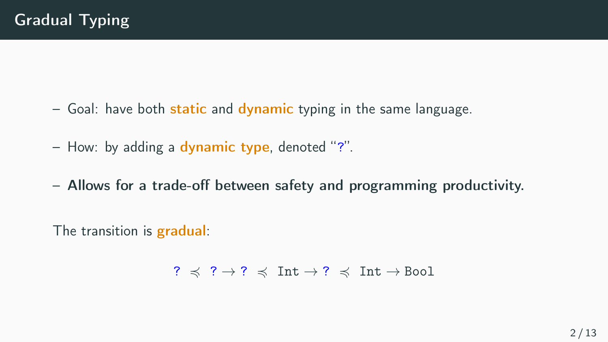- $-$  Goal: have both static and dynamic typing in the same language.
- How: by adding a dynamic type, denoted "?".
- Allows for a trade-off between safety and programming productivity.

The transition is **gradual**:

$$
? \preccurlyeq ? \rightarrow ? \preccurlyeq \text{Int} \rightarrow ? \preccurlyeq \text{Int} \rightarrow \text{Bool}
$$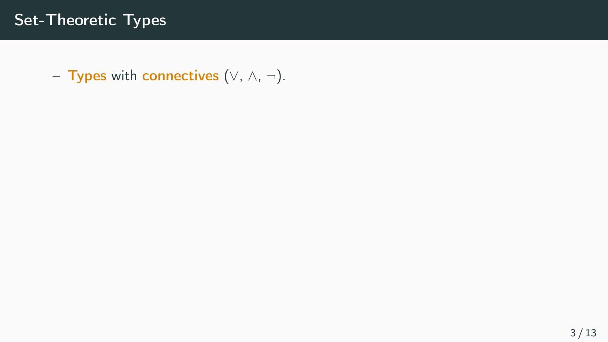– Types with connectives  $(\vee, \wedge, \neg)$ .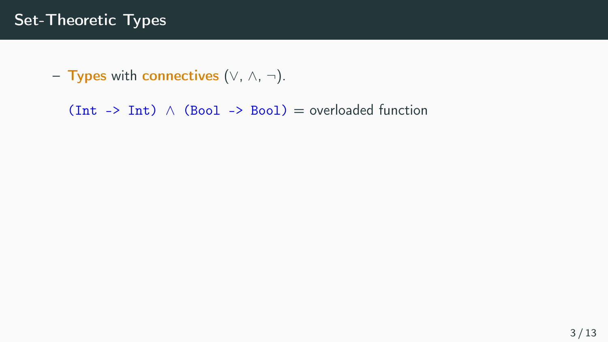– Types with connectives  $(\vee, \wedge, \neg)$ .

(Int -> Int)  $\land$  (Bool -> Bool) = overloaded function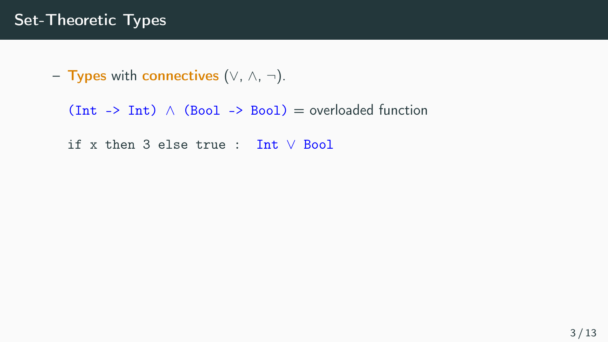```
– Types with connectives (\vee, \wedge, \neg).
```

```
(Int -> Int) \land (Bool -> Bool) = overloaded function
```
if x then 3 else true : Int ∨ Bool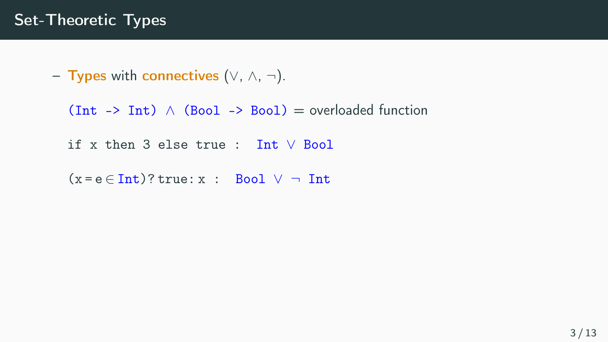– Types with connectives  $(\vee, \wedge, \neg)$ .

(Int -> Int)  $\land$  (Bool -> Bool) = overloaded function

if x then 3 else true : Int ∨ Bool

 $(x = e \in Int)$ ? true: x : Bool  $\vee \neg$  Int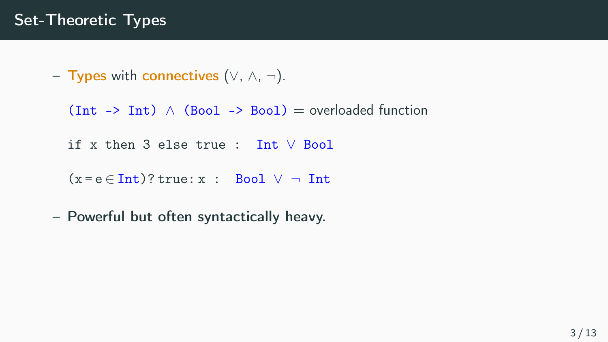```
– Types with connectives (∨, ∧, ¬).
```

```
(Int. -> Int.) \land (Bool -> Bool) = overloaded function
```
if x then 3 else true : Int ∨ Bool

```
(x = e \in Int)? true: x : Bool \vee \neg Int
```
– Powerful but often syntactically heavy.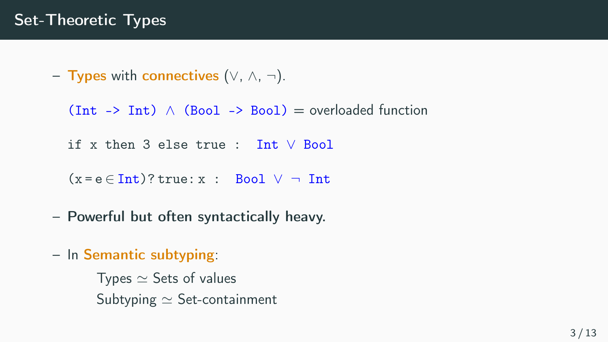```
– Types with connectives (\vee, \wedge, \neg).
```

```
(int -> Int) \wedge (Bool -> Bool) = overloaded function
```
if x then 3 else true : Int ∨ Bool

 $(x = e \in Int)$ ? true: x : Bool  $\vee \neg$  Int

– Powerful but often syntactically heavy.

– In Semantic subtyping:

Types  $\simeq$  Sets of values Subtyping ≃ Set-containment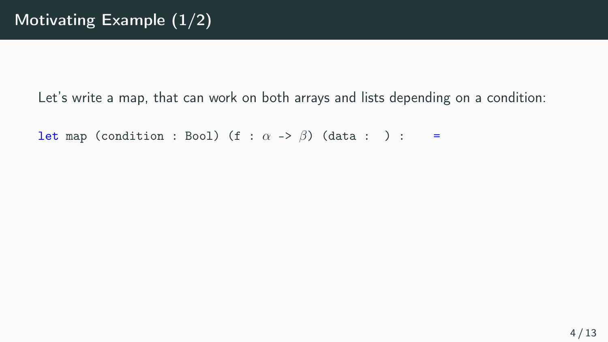```
let map (condition : Bool) (f : \alpha \rightarrow \beta) (data : ) : =
```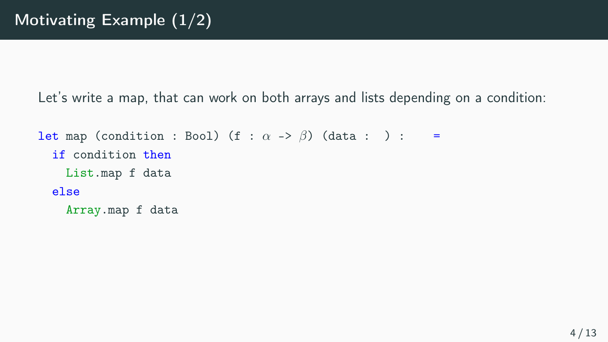```
let map (condition : Bool) (f : \alpha \rightarrow \beta) (data : ) : =
  if condition then
    List.map f data
  else
    Array.map f data
```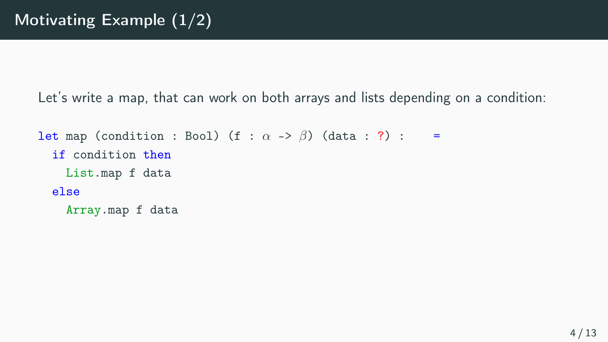```
let map (condition : Bool) (f : \alpha \rightarrow \beta) (data : ?) : =
  if condition then
    List.map f data
  else
    Array.map f data
```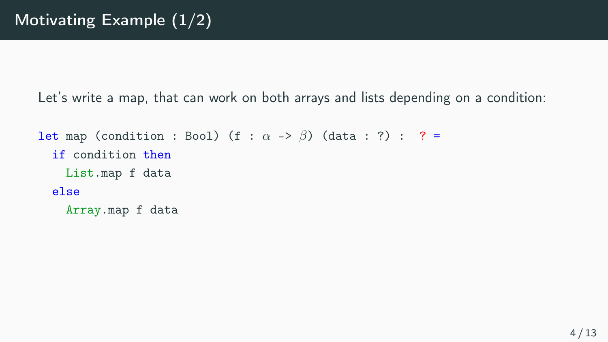```
let map (condition : Bool) (f : \alpha \rightarrow \beta) (data : ?) : ? =
  if condition then
    List.map f data
  else
    Array.map f data
```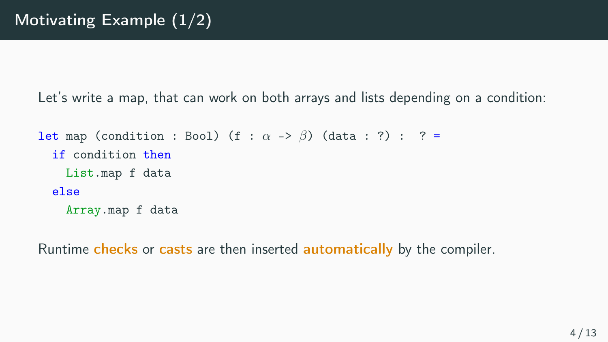```
let map (condition : Bool) (f : \alpha \rightarrow \beta) (data : ?) : ? =
  if condition then
    List.map f data
  else
    Array.map f data
```
Runtime checks or casts are then inserted automatically by the compiler.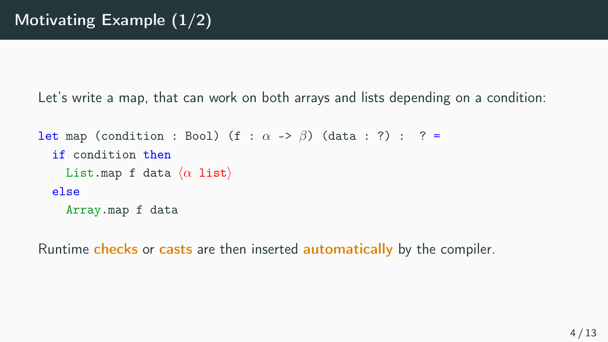```
let map (condition : Bool) (f : \alpha \rightarrow \beta) (data : ?) : ? =
  if condition then
     List.map f data \langle \alpha \rangle list
  else
     Array.map f data
```
Runtime checks or casts are then inserted automatically by the compiler.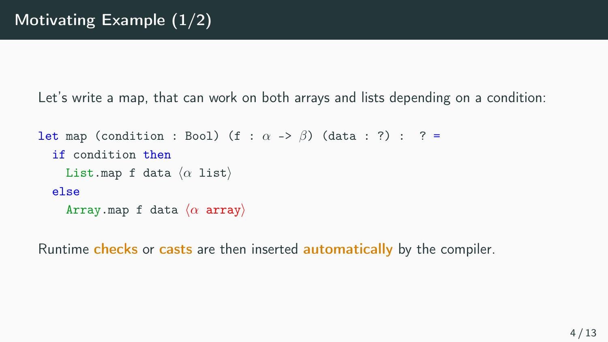```
let map (condition : Bool) (f : \alpha \rightarrow \beta) (data : ?) : ? =
   if condition then
     List.map f data \langle \alpha \rangle list)
  else
      Array.map f data \langle \alpha \rangle array)
```
Runtime checks or casts are then inserted automatically by the compiler.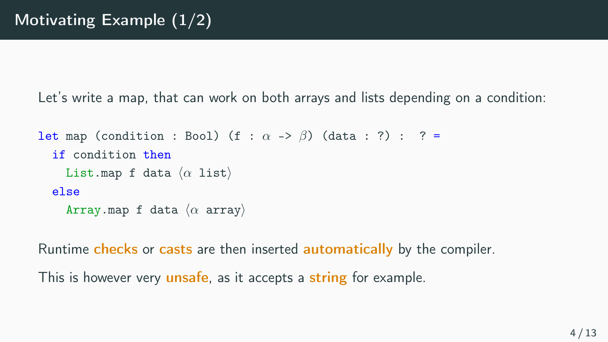```
let map (condition : Bool) (f : \alpha \rightarrow \beta) (data : ?) : ? =
   if condition then
     List.map f data \langle \alpha \rangle list)
  else
     Array.map f data \langle \alpha \rangle array
```
Runtime checks or casts are then inserted **automatically** by the compiler.

This is however very **unsafe**, as it accepts a string for example.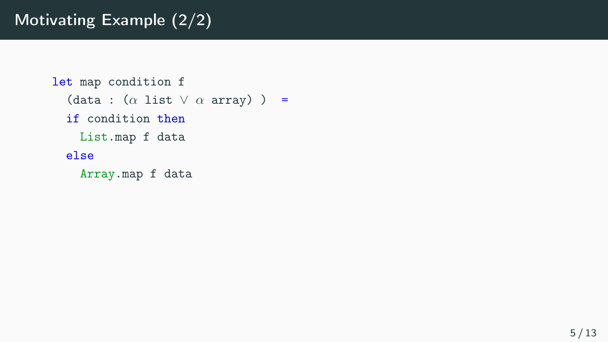```
let map condition f
  (data : (\alpha list \lor \alpha array) ) =
  if condition then
    List.map f data
  else
    Array.map f data
```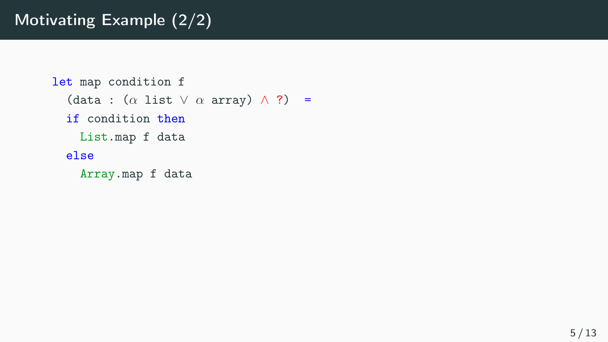```
let map condition f
  (data : (\alpha \text{ list } \lor \alpha \text{ array}) \land ?) =
  if condition then
    List.map f data
  else
     Array.map f data
```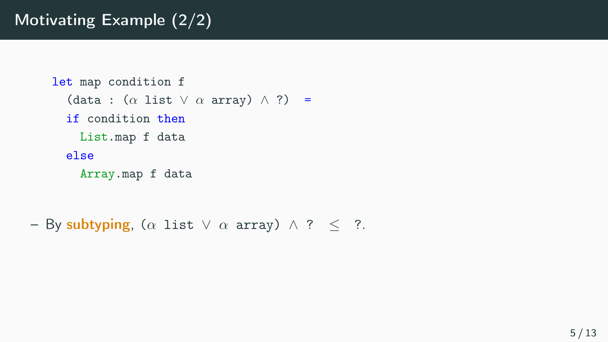```
let map condition f
   (data : (\alpha \text{ list } \vee \alpha \text{ array}) \wedge ?) =
  if condition then
    List.map f data
  else
     Array.map f data
```

```
– By subtyping, (\alpha list \lor \alpha array) \land ? \leq ?.
```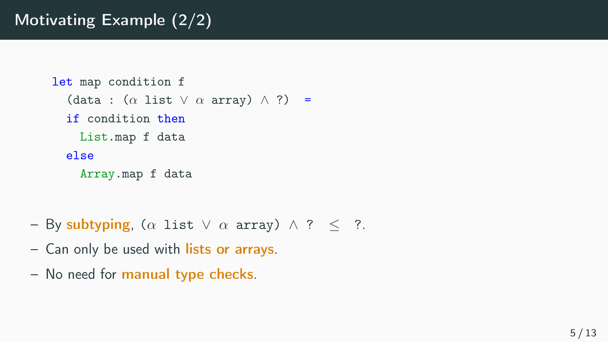```
let map condition f
   (data : (\alpha \text{ list } \vee \alpha \text{ array}) \wedge ?) =
  if condition then
     List.map f data
  else
     Array.map f data
```
- By subtyping, ( $\alpha$  list  $\vee$   $\alpha$  array)  $\wedge$  ?  $\leq$  ?.
- Can only be used with lists or arrays.
- No need for manual type checks.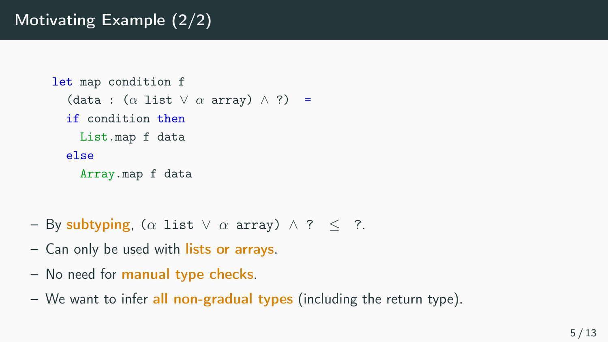```
let map condition f
  (data : (\alpha \text{ list } \vee \alpha \text{ array}) \wedge ?) =
  if condition then
    List.map f data
  else
     Array.map f data
```
- By subtyping, ( $\alpha$  list  $\vee$   $\alpha$  array)  $\wedge$  ?  $\leq$  ?.
- Can only be used with lists or arrays.
- No need for manual type checks.
- We want to infer all non-gradual types (including the return type).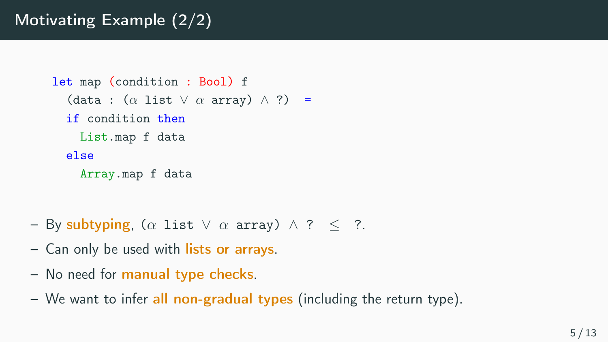```
let map (condition : Bool) f
  (data : (\alpha \text{ list } \vee \alpha \text{ array}) \wedge ?) =
  if condition then
    List.map f data
  else
     Array.map f data
```
- By subtyping, ( $\alpha$  list  $\vee$   $\alpha$  array)  $\wedge$  ?  $\leq$  ?.
- Can only be used with lists or arrays.
- No need for manual type checks.
- We want to infer all non-gradual types (including the return type).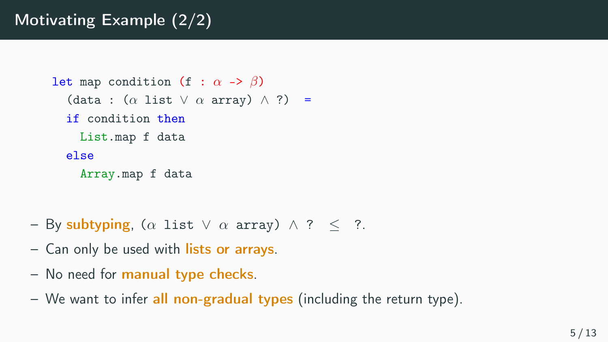```
let map condition (f : \alpha \rightarrow \beta)
   (data : (\alpha \text{ list } \vee \alpha \text{ array}) \wedge ?) =
  if condition then
     List.map f data
  else
     Array.map f data
```
- By subtyping, ( $\alpha$  list  $\vee$   $\alpha$  array)  $\wedge$  ?  $\leq$  ?.
- Can only be used with lists or arrays.
- No need for manual type checks.
- We want to infer all non-gradual types (including the return type).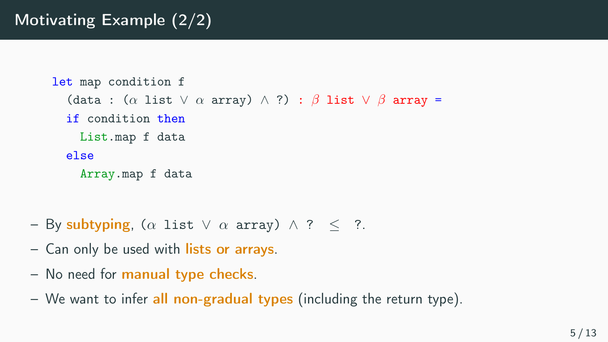```
let map condition f
  (data : (\alpha list \vee \alpha array) \wedge ?) : \beta list \vee \beta array =
  if condition then
    List.map f data
  else
    Array.map f data
```
- By subtyping, ( $\alpha$  list  $\vee$   $\alpha$  array)  $\wedge$  ?  $\leq$  ?.
- Can only be used with lists or arrays.
- No need for manual type checks.
- We want to infer all non-gradual types (including the return type).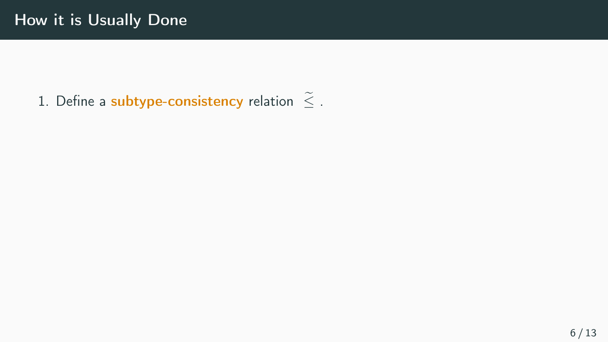1. Define a subtype-consistency relation  $\tilde{\le}$  .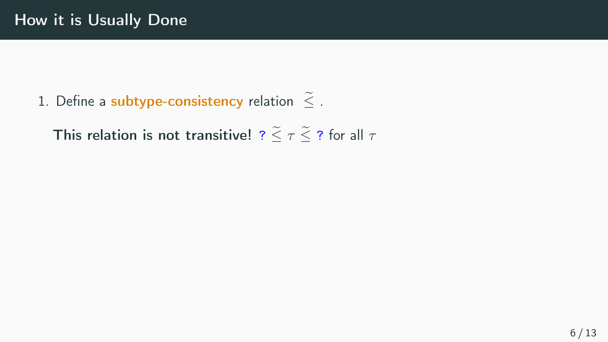1. Define a subtype-consistency relation  $\tilde{\le}$  .

This relation is not transitive! ?  $\leq \tau \leq$  ? for all  $\tau$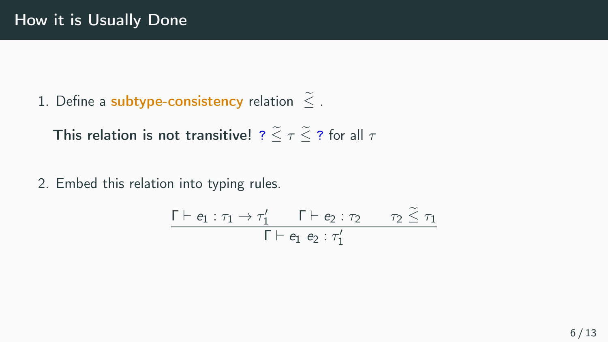1. Define a subtype-consistency relation  $\tilde{\le}$ .

This relation is not transitive! ?  $\leq \tau \leq$  ? for all  $\tau$ 

2. Embed this relation into typing rules.

$$
\frac{\Gamma \vdash e_1 : \tau_1 \to \tau_1' \qquad \Gamma \vdash e_2 : \tau_2 \qquad \tau_2 \leq \tau_1}{\Gamma \vdash e_1 \ e_2 : \tau_1'}
$$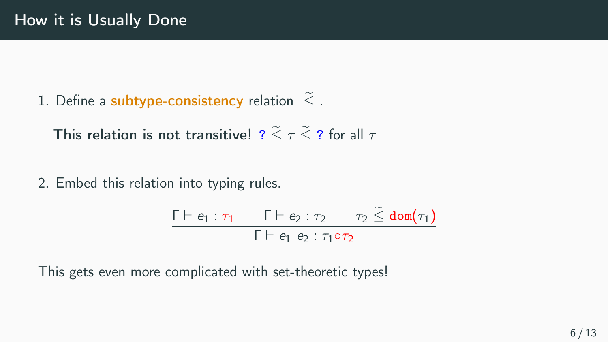1. Define a subtype-consistency relation  $\tilde{\le}$  .

This relation is not transitive!  $? \leq \tau \leq ?$  for all  $\tau$ 

2. Embed this relation into typing rules.

$$
\frac{\Gamma \vdash e_1 : \tau_1 \qquad \Gamma \vdash e_2 : \tau_2 \qquad \tau_2 \leq \text{dom}(\tau_1)}{\Gamma \vdash e_1 \ e_2 : \tau_1 \circ \tau_2}
$$

This gets even more complicated with set-theoretic types!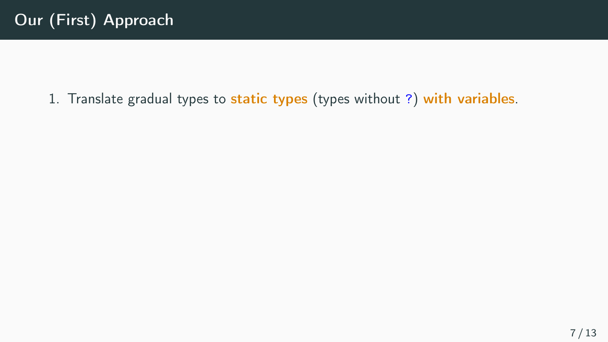#### 1. Translate gradual types to static types (types without ?) with variables.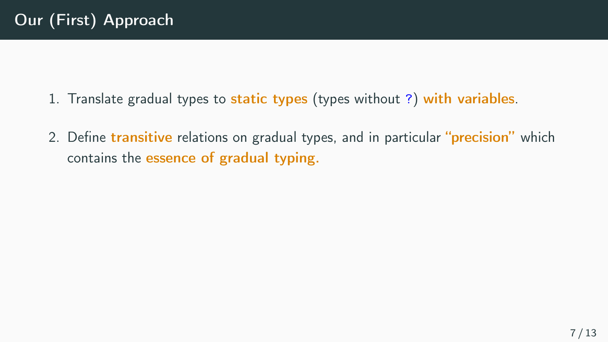- 1. Translate gradual types to static types (types without ?) with variables.
- 2. Define transitive relations on gradual types, and in particular "precision" which contains the essence of gradual typing.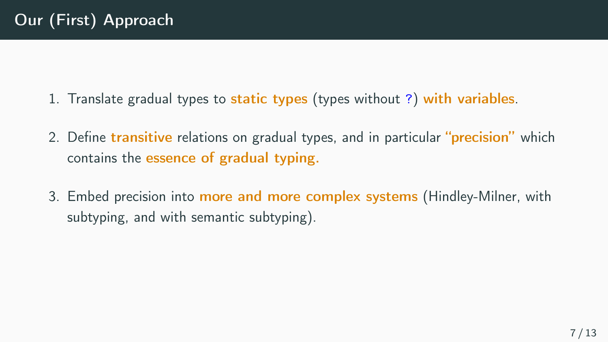- 1. Translate gradual types to static types (types without ?) with variables.
- 2. Define transitive relations on gradual types, and in particular "precision" which contains the essence of gradual typing.
- 3. Embed precision into more and more complex systems (Hindley-Milner, with subtyping, and with semantic subtyping).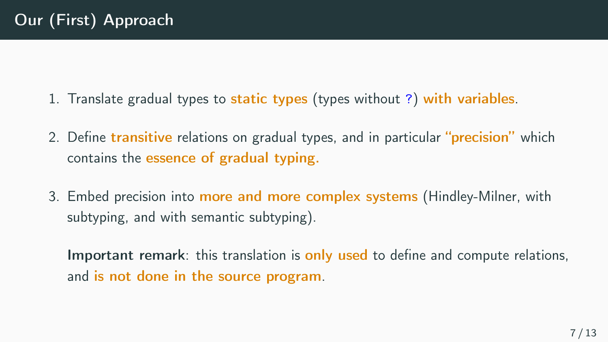- 1. Translate gradual types to static types (types without ?) with variables.
- 2. Define transitive relations on gradual types, and in particular "**precision**" which contains the essence of gradual typing.
- 3. Embed precision into more and more complex systems (Hindley-Milner, with subtyping, and with semantic subtyping).

Important remark: this translation is only used to define and compute relations, and is not done in the source program.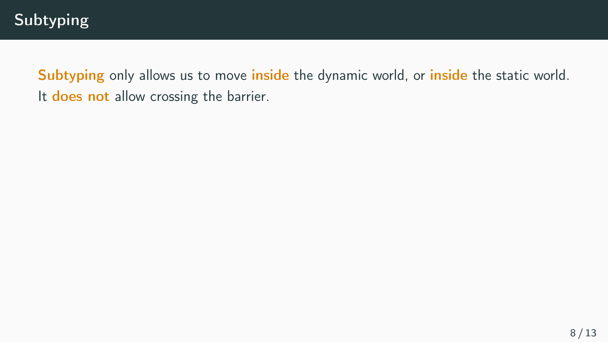Subtyping only allows us to move inside the dynamic world, or inside the static world. It does not allow crossing the barrier.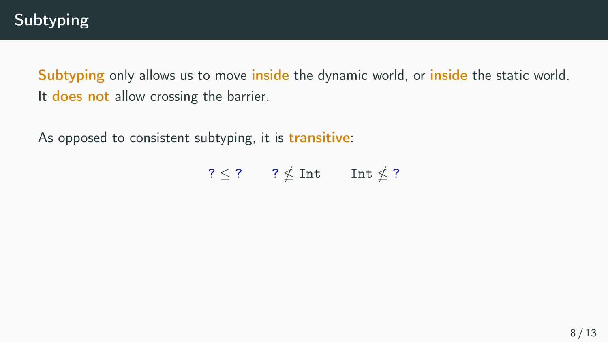Subtyping only allows us to move inside the dynamic world, or inside the static world. It does not allow crossing the barrier.

As opposed to consistent subtyping, it is transitive:

 $? \leq ?$  ?  $\nleq$  Int Int  $\nleq$  ?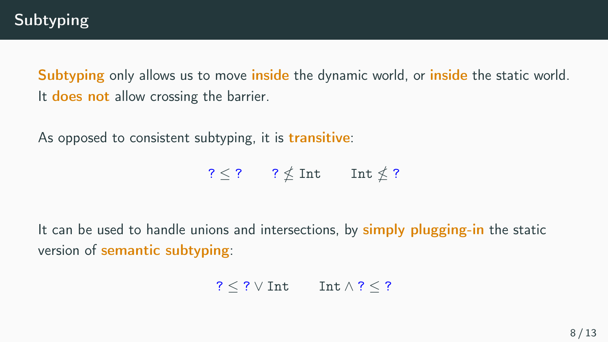Subtyping only allows us to move inside the dynamic world, or inside the static world. It does not allow crossing the barrier.

As opposed to consistent subtyping, it is transitive:

 $? \leq ?$  ?  $\nleq$  Int Int  $\nleq$  ?

It can be used to handle unions and intersections, by simply plugging-in the static version of semantic subtyping:

 $? \leq ? \vee$  Int  $\wedge$  ?  $\leq$  ?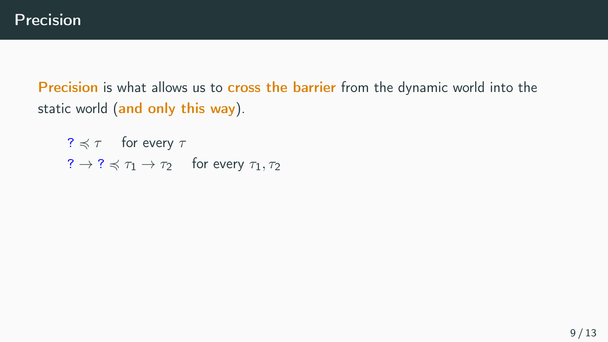?  $\leq \tau$  for every  $\tau$  $? \rightarrow ? \preccurlyeq \tau_1 \rightarrow \tau_2$  for every  $\tau_1, \tau_2$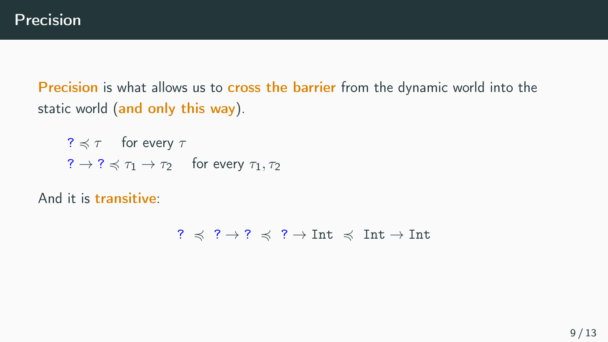?  $\leq \tau$  for every  $\tau$  $? \rightarrow ? \preccurlyeq \tau_1 \rightarrow \tau_2$  for every  $\tau_1, \tau_2$ 

And it is transitive:

 $? \preccurlyeq ? \rightharpoonup ? \preccurlyeq ? \rightharpoonup \text{Int} \preccurlyeq \text{Int} \rightharpoonup \text{Int}$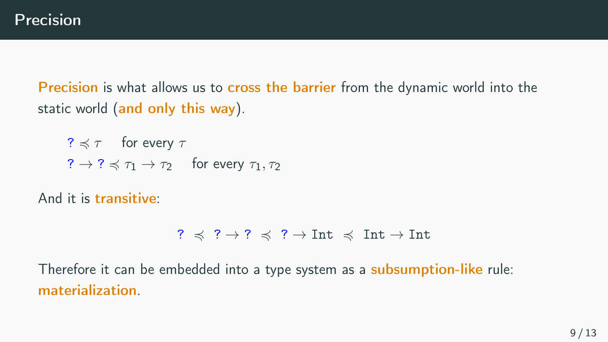?  $\leq \tau$  for every  $\tau$  $? \rightarrow ? \preccurlyeq \tau_1 \rightarrow \tau_2$  for every  $\tau_1, \tau_2$ 

And it is transitive:

?  $\preccurlyeq$  ?  $\rightarrow$  ?  $\preccurlyeq$  ?  $\rightarrow$  Int  $\preccurlyeq$  Int  $\rightarrow$  Int

Therefore it can be embedded into a type system as a **subsumption-like** rule: materialization.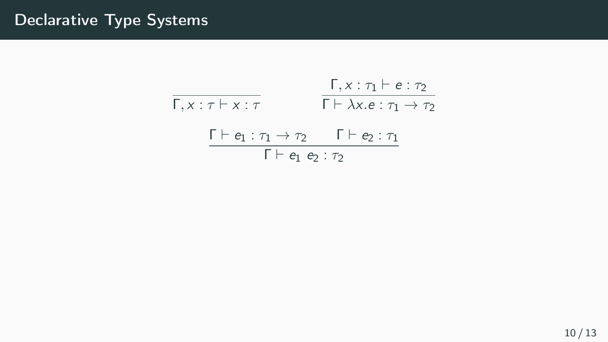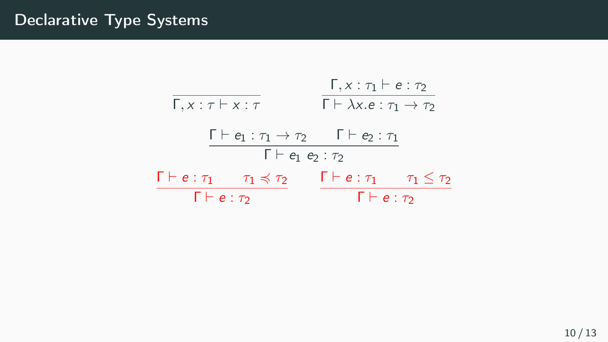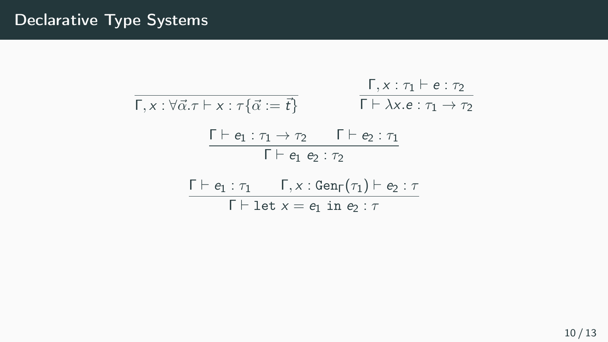$$
\begin{array}{ll}\n\overline{\Gamma, x : \forall \vec{\alpha}. \tau \vdash x : \tau \{ \vec{\alpha} := \vec{t} \}} & \overline{\Gamma \vdash \lambda x. e : \tau_1 \rightarrow \tau_2} \\
& \overline{\Gamma \vdash \lambda x. e : \tau_1 \rightarrow \tau_2} \\
& \overline{\Gamma \vdash e_1 : \tau_1 \rightarrow \tau_2} & \Gamma \vdash e_2 : \tau_1 \\
& \overline{\Gamma \vdash e_1 e_2 : \tau_2} \\
& \overline{\Gamma \vdash \text{let } x = e_1 \text{ in } e_2 : \tau}\n\end{array}
$$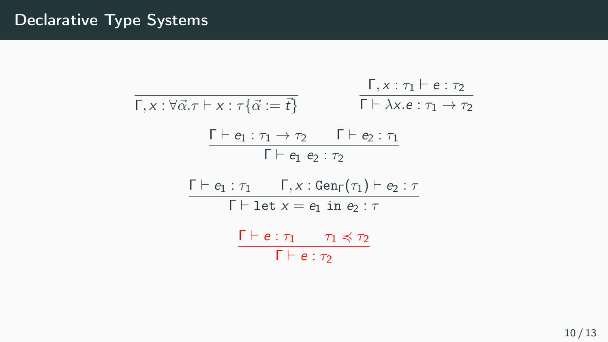$$
\frac{\Gamma, x : \forall \vec{\alpha} . \tau \vdash x : \tau \{\vec{\alpha} := \vec{t}\}}{\Gamma \vdash \lambda x . e : \tau_1 \rightarrow \tau_2}
$$
\n
$$
\frac{\Gamma \vdash e_1 : \tau_1 \rightarrow \tau_2 \qquad \Gamma \vdash e_2 : \tau_1}{\Gamma \vdash e_1 e_2 : \tau_2}
$$
\n
$$
\frac{\Gamma \vdash e_1 : \tau_1 \qquad \Gamma, x : \text{Gen}_{\Gamma}(\tau_1) \vdash e_2 : \tau}{\Gamma \vdash \text{let } x = e_1 \text{ in } e_2 : \tau}
$$
\n
$$
\frac{\Gamma \vdash e : \tau_1 \qquad \tau_1 \preccurlyeq \tau_2}{\Gamma \vdash e : \tau_2}
$$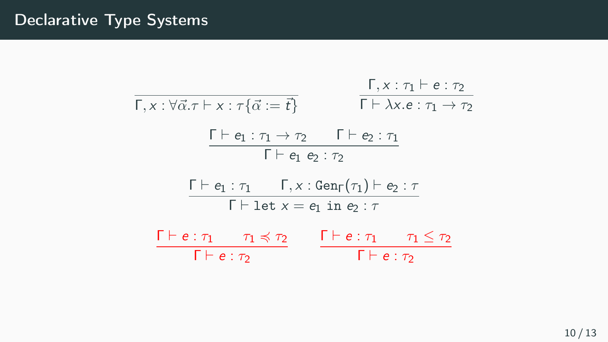| $\Gamma, x : \forall \vec{\alpha}. \tau \vdash x : \tau \{\vec{\alpha} := \vec{t}\}$ | $\Gamma, x : \tau_1 \vdash e : \tau_2$                      |                      |
|--------------------------------------------------------------------------------------|-------------------------------------------------------------|----------------------|
| $\Gamma \vdash e_1 : \tau_1 \rightarrow \tau_2$                                      | $\Gamma \vdash e_2 : \tau_1$                                |                      |
| $\Gamma \vdash e_1 e_2 : \tau_2$                                                     |                                                             |                      |
| $\Gamma \vdash e_1 : \tau_1$                                                         | $\Gamma, x : \text{Gen}_{\Gamma}(\tau_1) \vdash e_2 : \tau$ |                      |
| $\Gamma \vdash e \vdash \tau_1$                                                      | $\Gamma, x : \text{Gen}_{\Gamma}(\tau_1) \vdash e_2 : \tau$ |                      |
| $\Gamma \vdash e : \tau_1$                                                           | $\tau_1 \preceq \tau_2$                                     |                      |
| $\Gamma \vdash e : \tau_2$                                                           | $\Gamma \vdash e : \tau_1$                                  | $\tau_1 \leq \tau_2$ |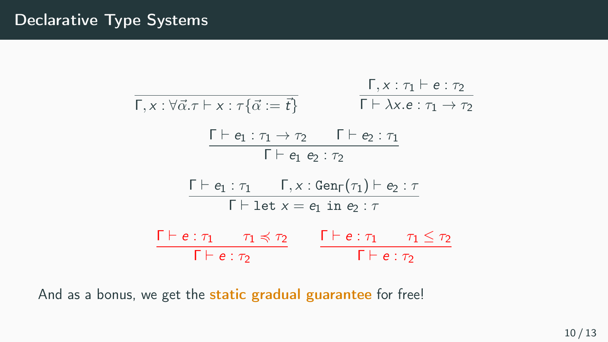| $\Gamma, x : \forall \vec{\alpha}. \tau \vdash x : \tau \{\vec{\alpha} := \vec{t}\}$ | $\Gamma, x : \tau_1 \vdash e : \tau_2$                      |
|--------------------------------------------------------------------------------------|-------------------------------------------------------------|
| $\Gamma \vdash \lambda x. e : \tau_1 \rightarrow \tau_2$                             | $\Gamma \vdash \lambda x. e : \tau_1 \rightarrow \tau_2$    |
| $\Gamma \vdash e_1 : \tau_1 \rightarrow \tau_2$                                      | $\Gamma \vdash e_2 : \tau_1$                                |
| $\Gamma \vdash e_1 : \tau_1$                                                         | $\Gamma, x : \text{Gen}_{\Gamma}(\tau_1) \vdash e_2 : \tau$ |
| $\Gamma \vdash e \vdash \tau_1$                                                      | $\tau_1 \preceq \tau_2$                                     |
| $\Gamma \vdash e : \tau_1$                                                           | $\tau_1 \preceq \tau_2$                                     |
| $\Gamma \vdash e : \tau_2$                                                           | $\Gamma \vdash e : \tau_2$                                  |

And as a bonus, we get the static gradual guarantee for free!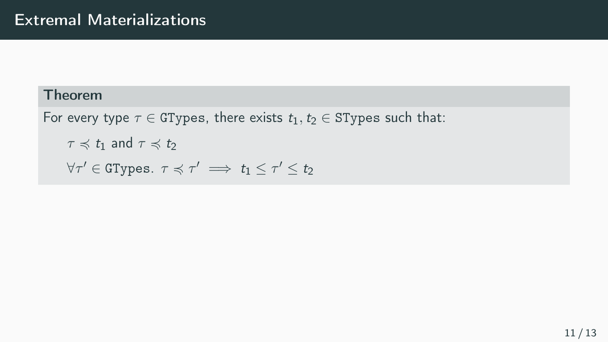```
For every type \tau \in GTypes, there exists t_1, t_2 \in STypes such that:
      \tau \preccurlyeq t_1 and \tau \preccurlyeq t_2\forall \tau' \in \mathtt{GTypes}. \tau \preccurlyeq \tau' \implies t_1 \leq \tau' \leq t_2
```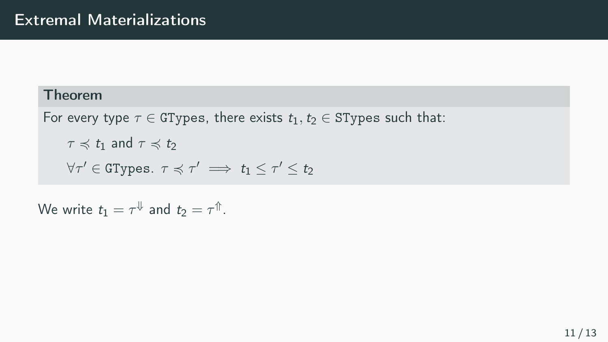For every type  $\tau \in G$ Types, there exists  $t_1, t_2 \in S$ Types such that:  $\tau \preccurlyeq t_1$  and  $\tau \preccurlyeq t_2$  $\forall \tau' \in \mathtt{GTypes}.$   $\tau \preccurlyeq \tau' \implies t_1 \leq \tau' \leq t_2$ 

We write  $t_1 = \tau^{\Downarrow}$  and  $t_2 = \tau^{\Uparrow}$ .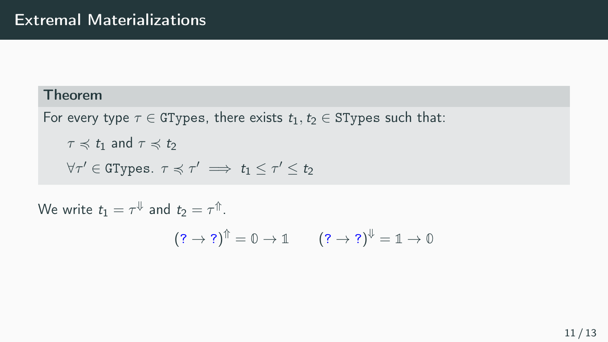For every type  $\tau \in G$ Types, there exists  $t_1, t_2 \in S$ Types such that:  $\tau \preccurlyeq t_1$  and  $\tau \preccurlyeq t_2$  $\forall \tau' \in \mathtt{GTypes}.$   $\tau \preccurlyeq \tau' \implies t_1 \leq \tau' \leq t_2$ 

We write  $t_1 = \tau^{\Downarrow}$  and  $t_2 = \tau^{\Uparrow}$ .  $(?\rightarrow ?)^{\Uparrow} = 0 \rightarrow \mathbb{1} \qquad (?\rightarrow ?)^{\Downarrow} = \mathbb{1} \rightarrow \mathbb{0}$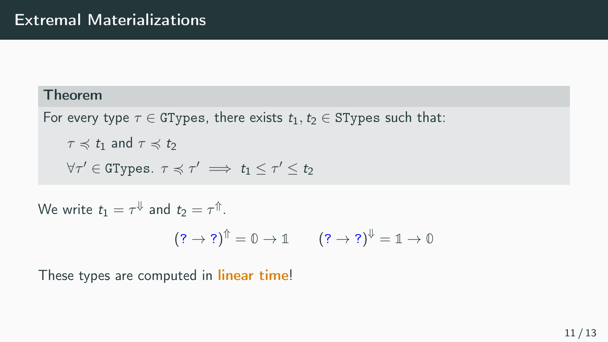For every type  $\tau \in G$ Types, there exists  $t_1, t_2 \in S$ Types such that:  $\tau \preccurlyeq t_1$  and  $\tau \preccurlyeq t_2$  $\forall \tau' \in \mathtt{GTypes}.$   $\tau \preccurlyeq \tau' \implies t_1 \leq \tau' \leq t_2$ 

We write  $t_1 = \tau^{\Downarrow}$  and  $t_2 = \tau^{\Uparrow}$ .

$$
(? \rightarrow ?)^{\Uparrow} = 0 \rightarrow \mathbb{1} \qquad (? \rightarrow ?)^{\Downarrow} = \mathbb{1} \rightarrow \mathbb{0}
$$

These types are computed in *linear time!*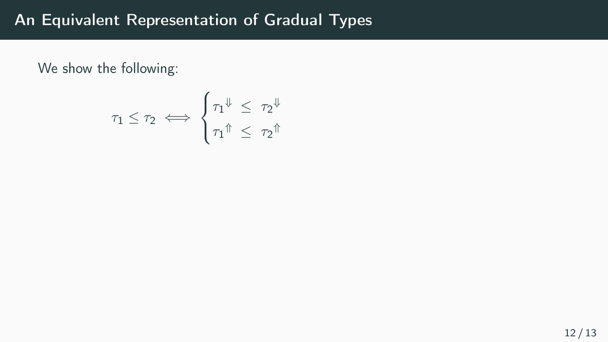We show the following:

$$
\tau_1 \leq \tau_2 \iff \begin{cases} \tau_1^{\Downarrow} \leq \tau_2^{\Downarrow} \\ \tau_1^{\Uparrow} \leq \tau_2^{\Uparrow} \end{cases}
$$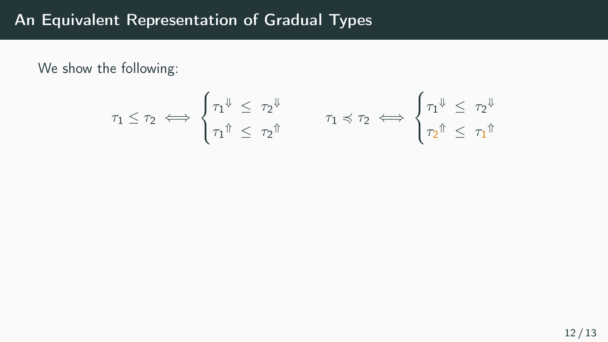We show the following:

$$
\tau_1 \leq \tau_2 \iff \begin{cases} \tau_1^{\Downarrow} \leq \ \tau_2^{\Downarrow} \\ \tau_1^{\Uparrow} \leq \ \tau_2^{\Uparrow} \end{cases} \qquad \tau_1 \preccurlyeq \tau_2 \iff \begin{cases} \tau_1^{\Downarrow} \leq \ \tau_2^{\Downarrow} \\ \tau_2^{\Uparrow} \leq \ \tau_1^{\Uparrow} \end{cases}
$$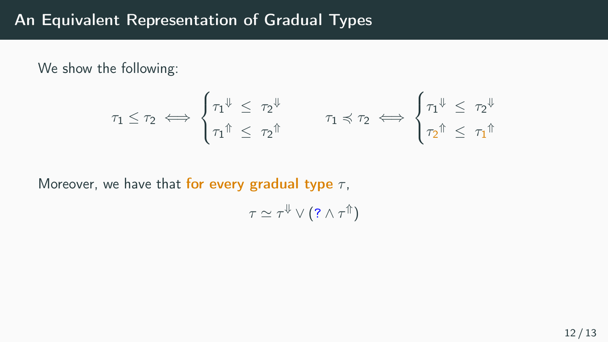We show the following:

$$
\tau_1 \leq \tau_2 \iff \begin{cases} \tau_1^{\Downarrow} \leq \ \tau_2^{\Downarrow} \\ \tau_1^{\Uparrow} \leq \ \tau_2^{\Uparrow} \end{cases} \qquad \tau_1 \preccurlyeq \tau_2 \iff \begin{cases} \tau_1^{\Downarrow} \leq \ \tau_2^{\Downarrow} \\ \tau_2^{\Uparrow} \leq \ \tau_1^{\Uparrow} \end{cases}
$$

Moreover, we have that for every gradual type  $\tau$ ,

$$
\tau \simeq \tau^{\Downarrow} \vee (?\wedge \tau^{\Uparrow})
$$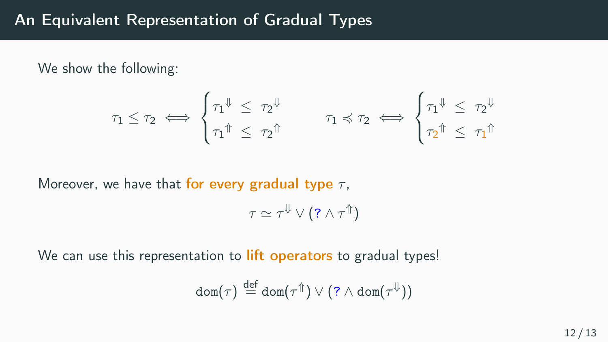We show the following:

$$
\tau_1 \leq \tau_2 \iff \begin{cases} \tau_1^{\Downarrow} \leq \ \tau_2^{\Downarrow} \\ \tau_1^{\Uparrow} \leq \ \tau_2^{\Uparrow} \end{cases} \qquad \tau_1 \preccurlyeq \tau_2 \iff \begin{cases} \tau_1^{\Downarrow} \leq \ \tau_2^{\Downarrow} \\ \tau_2^{\Uparrow} \leq \ \tau_1^{\Uparrow} \end{cases}
$$

Moreover, we have that for every gradual type  $\tau$ .

$$
\tau \simeq \tau^{\Downarrow} \vee (?\wedge \tau^{\Uparrow})
$$

We can use this representation to **lift operators** to gradual types!

$$
\textnormal{dom}(\tau) \stackrel{\textnormal{def}}{=} \textnormal{dom}(\tau^{\Uparrow}) \vee (?\wedge \textnormal{dom}(\tau^{\Downarrow}))
$$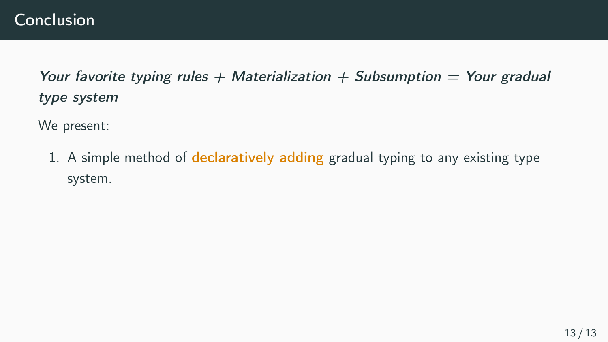We present:

1. A simple method of **declaratively adding** gradual typing to any existing type system.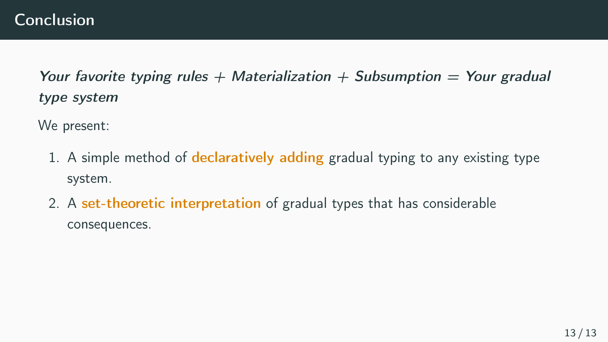We present:

- 1. A simple method of **declaratively adding** gradual typing to any existing type system.
- 2. A set-theoretic interpretation of gradual types that has considerable consequences.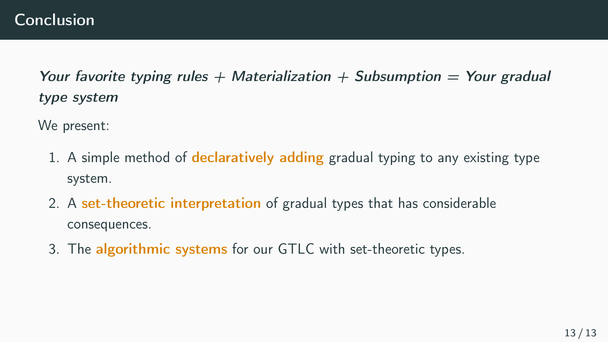We present:

- 1. A simple method of **declaratively adding** gradual typing to any existing type system.
- 2. A set-theoretic interpretation of gradual types that has considerable consequences.
- 3. The algorithmic systems for our GTLC with set-theoretic types.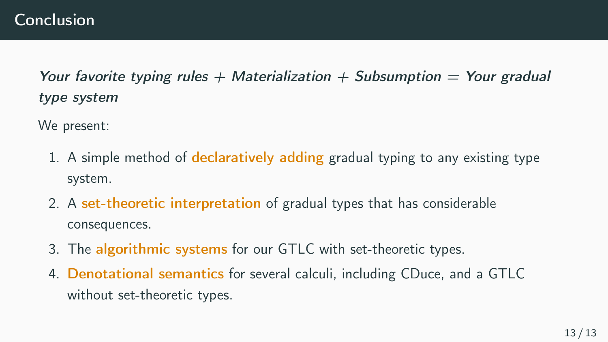We present:

- 1. A simple method of **declaratively adding** gradual typing to any existing type system.
- 2. A set-theoretic interpretation of gradual types that has considerable consequences.
- 3. The algorithmic systems for our GTLC with set-theoretic types.
- 4. Denotational semantics for several calculi, including CDuce, and a GTLC without set-theoretic types.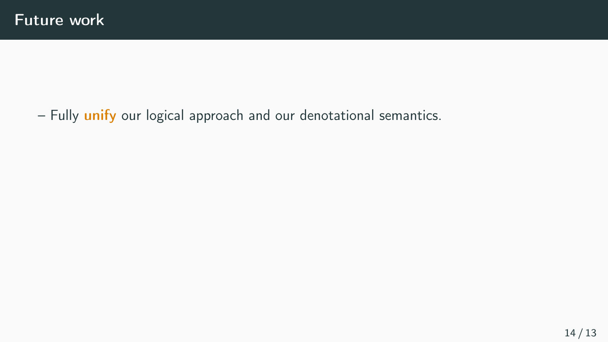– Fully *unify* our logical approach and our denotational semantics.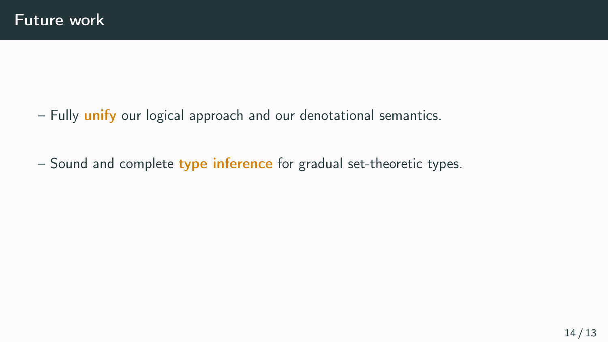- Fully unify our logical approach and our denotational semantics.
- Sound and complete type inference for gradual set-theoretic types.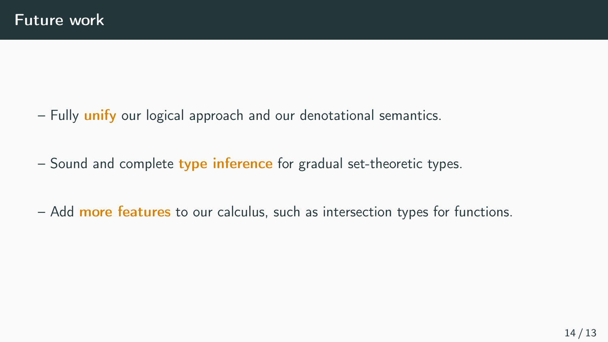- $-$  Fully unify our logical approach and our denotational semantics.
- $-$  Sound and complete type inference for gradual set-theoretic types.
- Add more features to our calculus, such as intersection types for functions.